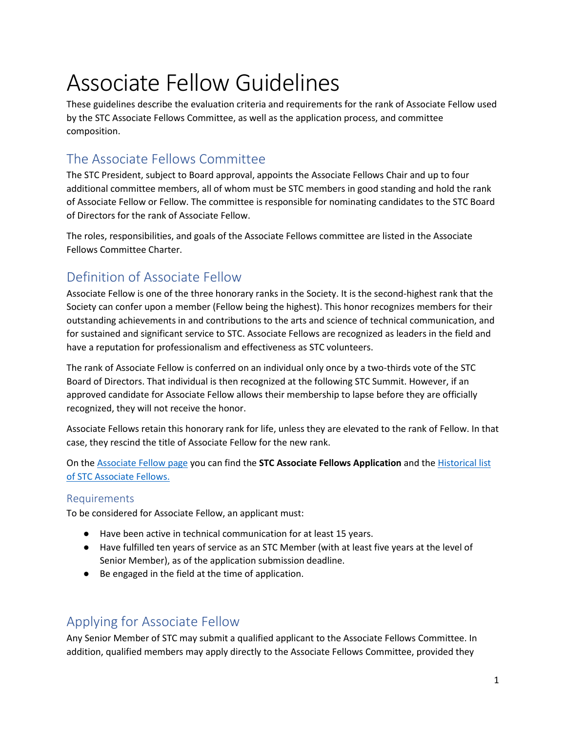# Associate Fellow Guidelines

These guidelines describe the evaluation criteria and requirements for the rank of Associate Fellow used by the STC Associate Fellows Committee, as well as the application process, and committee composition.

## The Associate Fellows Committee

The STC President, subject to Board approval, appoints the Associate Fellows Chair and up to four additional committee members, all of whom must be STC members in good standing and hold the rank of Associate Fellow or Fellow. The committee is responsible for nominating candidates to the STC Board of Directors for the rank of Associate Fellow.

The roles, responsibilities, and goals of the Associate Fellows committee are listed in the Associate Fellows Committee Charter.

## Definition of Associate Fellow

Associate Fellow is one of the three honorary ranks in the Society. It is the second-highest rank that the Society can confer upon a member (Fellow being the highest). This honor recognizes members for their outstanding achievements in and contributions to the arts and science of technical communication, and for sustained and significant service to STC. Associate Fellows are recognized as leaders in the field and have a reputation for professionalism and effectiveness as STC volunteers.

The rank of Associate Fellow is conferred on an individual only once by a two-thirds vote of the STC Board of Directors. That individual is then recognized at the following STC Summit. However, if an approved candidate for Associate Fellow allows their membership to lapse before they are officially recognized, they will not receive the honor.

Associate Fellows retain this honorary rank for life, unless they are elevated to the rank of Fellow. In that case, they rescind the title of Associate Fellow for the new rank.

On the [Associate Fellow page](https://www.stc.org/honors-awards-and-recognition/associate-fellow/) you can find the **STC Associate Fellows Application** and th[e Historical list](https://www.stc.org/honors-awards-and-recognition/associate-fellow/historical-list-stc-associate-fellows/)  [of STC Associate Fellows.](https://www.stc.org/honors-awards-and-recognition/associate-fellow/historical-list-stc-associate-fellows/)

#### Requirements

To be considered for Associate Fellow, an applicant must:

- Have been active in technical communication for at least 15 years.
- Have fulfilled ten years of service as an STC Member (with at least five years at the level of Senior Member), as of the application submission deadline.
- Be engaged in the field at the time of application.

## Applying for Associate Fellow

Any Senior Member of STC may submit a qualified applicant to the Associate Fellows Committee. In addition, qualified members may apply directly to the Associate Fellows Committee, provided they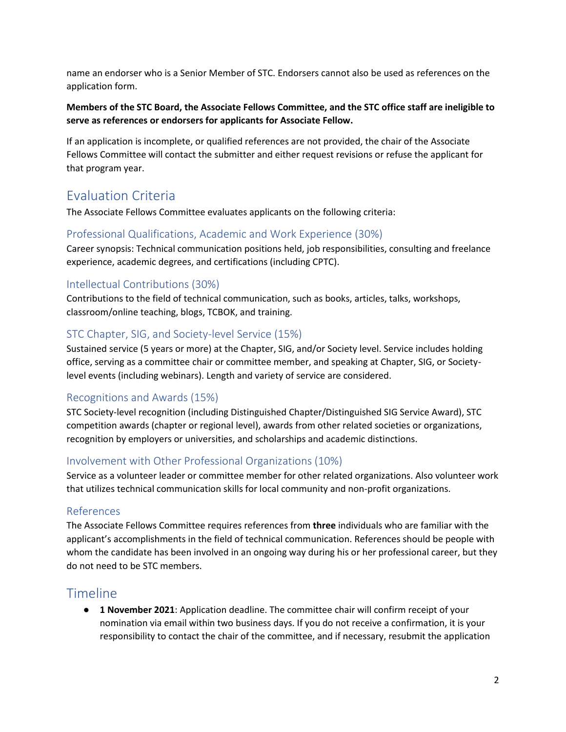name an endorser who is a Senior Member of STC. Endorsers cannot also be used as references on the application form.

#### **Members of the STC Board, the Associate Fellows Committee, and the STC office staff are ineligible to serve as references or endorsers for applicants for Associate Fellow.**

If an application is incomplete, or qualified references are not provided, the chair of the Associate Fellows Committee will contact the submitter and either request revisions or refuse the applicant for that program year.

## Evaluation Criteria

The Associate Fellows Committee evaluates applicants on the following criteria:

#### Professional Qualifications, Academic and Work Experience (30%)

Career synopsis: Technical communication positions held, job responsibilities, consulting and freelance experience, academic degrees, and certifications (including CPTC).

#### Intellectual Contributions (30%)

Contributions to the field of technical communication, such as books, articles, talks, workshops, classroom/online teaching, blogs, TCBOK, and training.

#### STC Chapter, SIG, and Society-level Service (15%)

Sustained service (5 years or more) at the Chapter, SIG, and/or Society level. Service includes holding office, serving as a committee chair or committee member, and speaking at Chapter, SIG, or Societylevel events (including webinars). Length and variety of service are considered.

#### Recognitions and Awards (15%)

STC Society-level recognition (including Distinguished Chapter/Distinguished SIG Service Award), STC competition awards (chapter or regional level), awards from other related societies or organizations, recognition by employers or universities, and scholarships and academic distinctions.

#### Involvement with Other Professional Organizations (10%)

Service as a volunteer leader or committee member for other related organizations. Also volunteer work that utilizes technical communication skills for local community and non-profit organizations.

#### References

The Associate Fellows Committee requires references from **three** individuals who are familiar with the applicant's accomplishments in the field of technical communication. References should be people with whom the candidate has been involved in an ongoing way during his or her professional career, but they do not need to be STC members.

### Timeline

● **1 November 2021**: Application deadline. The committee chair will confirm receipt of your nomination via email within two business days. If you do not receive a confirmation, it is your responsibility to contact the chair of the committee, and if necessary, resubmit the application